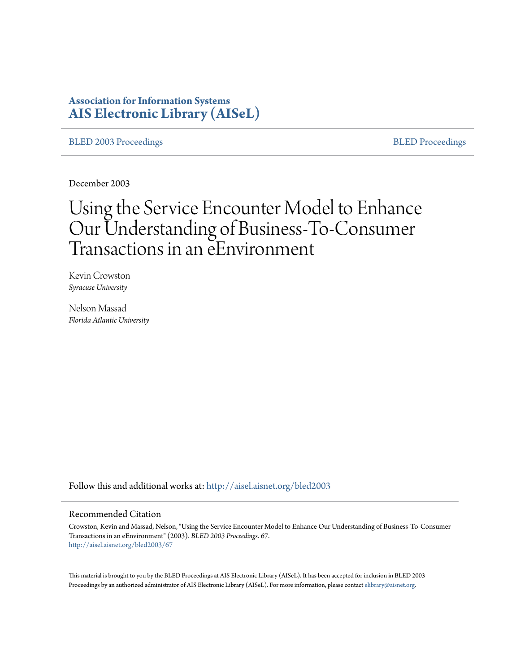## **Association for Information Systems [AIS Electronic Library \(AISeL\)](http://aisel.aisnet.org?utm_source=aisel.aisnet.org%2Fbled2003%2F67&utm_medium=PDF&utm_campaign=PDFCoverPages)**

[BLED 2003 Proceedings](http://aisel.aisnet.org/bled2003?utm_source=aisel.aisnet.org%2Fbled2003%2F67&utm_medium=PDF&utm_campaign=PDFCoverPages) and the state of the state of the [BLED Proceedings](http://aisel.aisnet.org/bled?utm_source=aisel.aisnet.org%2Fbled2003%2F67&utm_medium=PDF&utm_campaign=PDFCoverPages) and the BLED Proceedings and the BLED Proceedings and the BLED Proceedings and the BLED Proceedings and the BLED Proceedings and the BLED Proceedings

December 2003

# Using the Service Encounter Model to Enhance Our Understanding of Business-To-Consumer Transactions in an eEnvironment

Kevin Crowston *Syracuse University*

Nelson Massad *Florida Atlantic University*

Follow this and additional works at: [http://aisel.aisnet.org/bled2003](http://aisel.aisnet.org/bled2003?utm_source=aisel.aisnet.org%2Fbled2003%2F67&utm_medium=PDF&utm_campaign=PDFCoverPages)

#### Recommended Citation

Crowston, Kevin and Massad, Nelson, "Using the Service Encounter Model to Enhance Our Understanding of Business-To-Consumer Transactions in an eEnvironment" (2003). *BLED 2003 Proceedings*. 67. [http://aisel.aisnet.org/bled2003/67](http://aisel.aisnet.org/bled2003/67?utm_source=aisel.aisnet.org%2Fbled2003%2F67&utm_medium=PDF&utm_campaign=PDFCoverPages)

This material is brought to you by the BLED Proceedings at AIS Electronic Library (AISeL). It has been accepted for inclusion in BLED 2003 Proceedings by an authorized administrator of AIS Electronic Library (AISeL). For more information, please contact [elibrary@aisnet.org](mailto:elibrary@aisnet.org%3E).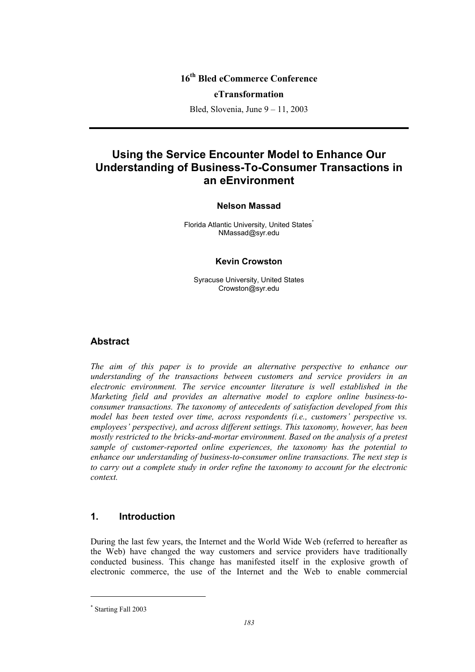## **16th Bled eCommerce Conference**

#### **eTransformation**

Bled, Slovenia, June 9 – 11, 2003

# **Using the Service Encounter Model to Enhance Our Understanding of Business-To-Consumer Transactions in an eEnvironment**

#### **Nelson Massad**

Florida Atlantic University, United States<sup>\*</sup> NMassad@syr.edu

#### **Kevin Crowston**

Syracuse University, United States Crowston@syr.edu

#### **Abstract**

*The aim of this paper is to provide an alternative perspective to enhance our understanding of the transactions between customers and service providers in an electronic environment. The service encounter literature is well established in the Marketing field and provides an alternative model to explore online business-toconsumer transactions. The taxonomy of antecedents of satisfaction developed from this model has been tested over time, across respondents (i.e., customers' perspective vs. employees' perspective), and across different settings. This taxonomy, however, has been mostly restricted to the bricks-and-mortar environment. Based on the analysis of a pretest sample of customer-reported online experiences, the taxonomy has the potential to enhance our understanding of business-to-consumer online transactions. The next step is to carry out a complete study in order refine the taxonomy to account for the electronic context.* 

### **1. Introduction**

During the last few years, the Internet and the World Wide Web (referred to hereafter as the Web) have changed the way customers and service providers have traditionally conducted business. This change has manifested itself in the explosive growth of electronic commerce, the use of the Internet and the Web to enable commercial

l

<sup>\*</sup> Starting Fall 2003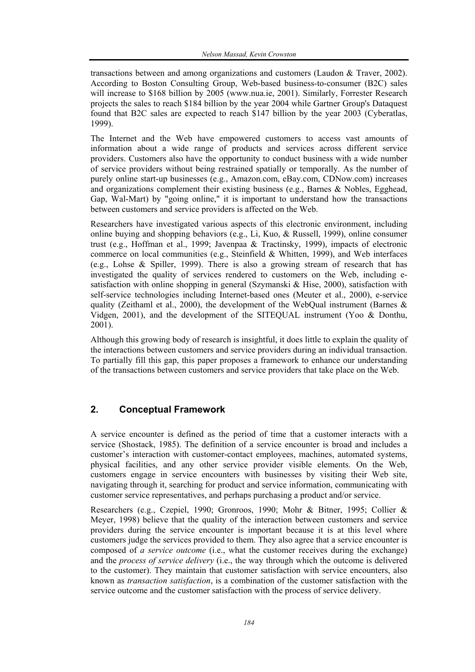transactions between and among organizations and customers (Laudon & Traver, 2002). According to Boston Consulting Group, Web-based business-to-consumer (B2C) sales will increase to \$168 billion by 2005 (www.nua.ie, 2001). Similarly, Forrester Research projects the sales to reach \$184 billion by the year 2004 while Gartner Group's Dataquest found that B2C sales are expected to reach \$147 billion by the year 2003 (Cyberatlas, 1999).

The Internet and the Web have empowered customers to access vast amounts of information about a wide range of products and services across different service providers. Customers also have the opportunity to conduct business with a wide number of service providers without being restrained spatially or temporally. As the number of purely online start-up businesses (e.g., Amazon.com, eBay.com, CDNow.com) increases and organizations complement their existing business (e.g., Barnes & Nobles, Egghead, Gap, Wal-Mart) by "going online," it is important to understand how the transactions between customers and service providers is affected on the Web.

Researchers have investigated various aspects of this electronic environment, including online buying and shopping behaviors (e.g., Li, Kuo, & Russell, 1999), online consumer trust (e.g., Hoffman et al., 1999; Javenpaa & Tractinsky, 1999), impacts of electronic commerce on local communities (e.g., Steinfield  $&$  Whitten, 1999), and Web interfaces (e.g., Lohse & Spiller, 1999). There is also a growing stream of research that has investigated the quality of services rendered to customers on the Web, including esatisfaction with online shopping in general (Szymanski & Hise, 2000), satisfaction with self-service technologies including Internet-based ones (Meuter et al., 2000), e-service quality (Zeithaml et al., 2000), the development of the WebQual instrument (Barnes  $\&$ Vidgen, 2001), and the development of the SITEQUAL instrument (Yoo & Donthu, 2001).

Although this growing body of research is insightful, it does little to explain the quality of the interactions between customers and service providers during an individual transaction. To partially fill this gap, this paper proposes a framework to enhance our understanding of the transactions between customers and service providers that take place on the Web.

## **2. Conceptual Framework**

A service encounter is defined as the period of time that a customer interacts with a service (Shostack, 1985). The definition of a service encounter is broad and includes a customer's interaction with customer-contact employees, machines, automated systems, physical facilities, and any other service provider visible elements. On the Web, customers engage in service encounters with businesses by visiting their Web site, navigating through it, searching for product and service information, communicating with customer service representatives, and perhaps purchasing a product and/or service.

Researchers (e.g., Czepiel, 1990; Gronroos, 1990; Mohr & Bitner, 1995; Collier & Meyer, 1998) believe that the quality of the interaction between customers and service providers during the service encounter is important because it is at this level where customers judge the services provided to them. They also agree that a service encounter is composed of *a service outcome* (i.e., what the customer receives during the exchange) and the *process of service delivery* (i.e., the way through which the outcome is delivered to the customer). They maintain that customer satisfaction with service encounters, also known as *transaction satisfaction*, is a combination of the customer satisfaction with the service outcome and the customer satisfaction with the process of service delivery.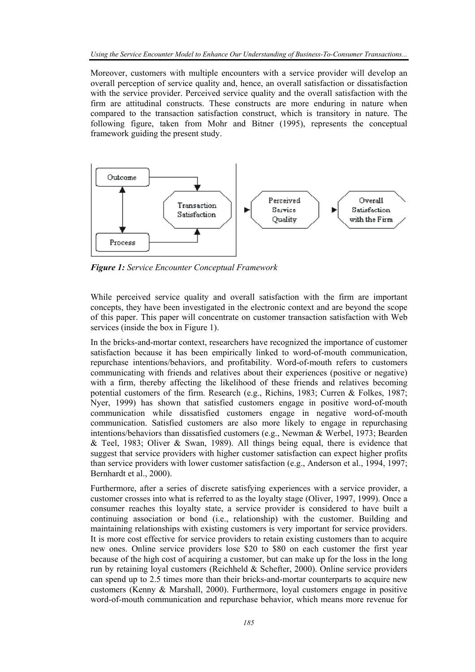Moreover, customers with multiple encounters with a service provider will develop an overall perception of service quality and, hence, an overall satisfaction or dissatisfaction with the service provider. Perceived service quality and the overall satisfaction with the firm are attitudinal constructs. These constructs are more enduring in nature when compared to the transaction satisfaction construct, which is transitory in nature. The following figure, taken from Mohr and Bitner (1995), represents the conceptual framework guiding the present study.



*Figure 1: Service Encounter Conceptual Framework* 

While perceived service quality and overall satisfaction with the firm are important concepts, they have been investigated in the electronic context and are beyond the scope of this paper. This paper will concentrate on customer transaction satisfaction with Web services (inside the box in Figure 1).

In the bricks-and-mortar context, researchers have recognized the importance of customer satisfaction because it has been empirically linked to word-of-mouth communication, repurchase intentions/behaviors, and profitability. Word-of-mouth refers to customers communicating with friends and relatives about their experiences (positive or negative) with a firm, thereby affecting the likelihood of these friends and relatives becoming potential customers of the firm. Research (e.g., Richins, 1983; Curren & Folkes, 1987; Nyer, 1999) has shown that satisfied customers engage in positive word-of-mouth communication while dissatisfied customers engage in negative word-of-mouth communication. Satisfied customers are also more likely to engage in repurchasing intentions/behaviors than dissatisfied customers (e.g., Newman & Werbel, 1973; Bearden & Teel, 1983; Oliver & Swan, 1989). All things being equal, there is evidence that suggest that service providers with higher customer satisfaction can expect higher profits than service providers with lower customer satisfaction (e.g., Anderson et al., 1994, 1997; Bernhardt et al., 2000).

Furthermore, after a series of discrete satisfying experiences with a service provider, a customer crosses into what is referred to as the loyalty stage (Oliver, 1997, 1999). Once a consumer reaches this loyalty state, a service provider is considered to have built a continuing association or bond (i.e., relationship) with the customer. Building and maintaining relationships with existing customers is very important for service providers. It is more cost effective for service providers to retain existing customers than to acquire new ones. Online service providers lose \$20 to \$80 on each customer the first year because of the high cost of acquiring a customer, but can make up for the loss in the long run by retaining loyal customers (Reichheld & Schefter, 2000). Online service providers can spend up to 2.5 times more than their bricks-and-mortar counterparts to acquire new customers (Kenny & Marshall, 2000). Furthermore, loyal customers engage in positive word-of-mouth communication and repurchase behavior, which means more revenue for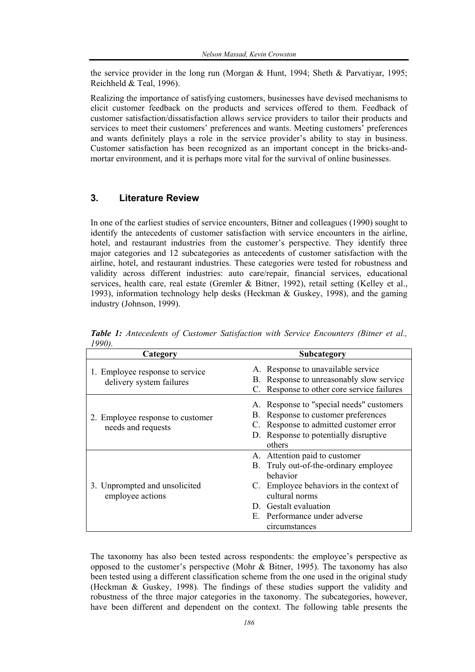the service provider in the long run (Morgan & Hunt, 1994; Sheth & Parvatiyar, 1995; Reichheld & Teal, 1996).

Realizing the importance of satisfying customers, businesses have devised mechanisms to elicit customer feedback on the products and services offered to them. Feedback of customer satisfaction/dissatisfaction allows service providers to tailor their products and services to meet their customers' preferences and wants. Meeting customers' preferences and wants definitely plays a role in the service provider's ability to stay in business. Customer satisfaction has been recognized as an important concept in the bricks-andmortar environment, and it is perhaps more vital for the survival of online businesses.

#### **3. Literature Review**

In one of the earliest studies of service encounters, Bitner and colleagues (1990) sought to identify the antecedents of customer satisfaction with service encounters in the airline, hotel, and restaurant industries from the customer's perspective. They identify three major categories and 12 subcategories as antecedents of customer satisfaction with the airline, hotel, and restaurant industries. These categories were tested for robustness and validity across different industries: auto care/repair, financial services, educational services, health care, real estate (Gremler & Bitner, 1992), retail setting (Kelley et al., 1993), information technology help desks (Heckman & Guskey, 1998), and the gaming industry (Johnson, 1999).

| . , .<br>Category                                           | Subcategory                                                                                                                                                                                                                  |
|-------------------------------------------------------------|------------------------------------------------------------------------------------------------------------------------------------------------------------------------------------------------------------------------------|
| 1. Employee response to service<br>delivery system failures | A. Response to unavailable service<br>B. Response to unreasonably slow service<br>C. Response to other core service failures                                                                                                 |
| 2. Employee response to customer<br>needs and requests      | A. Response to "special needs" customers<br>B. Response to customer preferences<br>C. Response to admitted customer error<br>D. Response to potentially disruptive<br>others                                                 |
| 3. Unprompted and unsolicited<br>employee actions           | A. Attention paid to customer<br>Truly out-of-the-ordinary employee<br>B.<br>behavior<br>C. Employee behaviors in the context of<br>cultural norms<br>D. Gestalt evaluation<br>E. Performance under adverse<br>circumstances |

*Table 1: Antecedents of Customer Satisfaction with Service Encounters (Bitner et al., 1990).* 

The taxonomy has also been tested across respondents: the employee's perspective as opposed to the customer's perspective (Mohr & Bitner, 1995). The taxonomy has also been tested using a different classification scheme from the one used in the original study (Heckman & Guskey, 1998). The findings of these studies support the validity and robustness of the three major categories in the taxonomy. The subcategories, however, have been different and dependent on the context. The following table presents the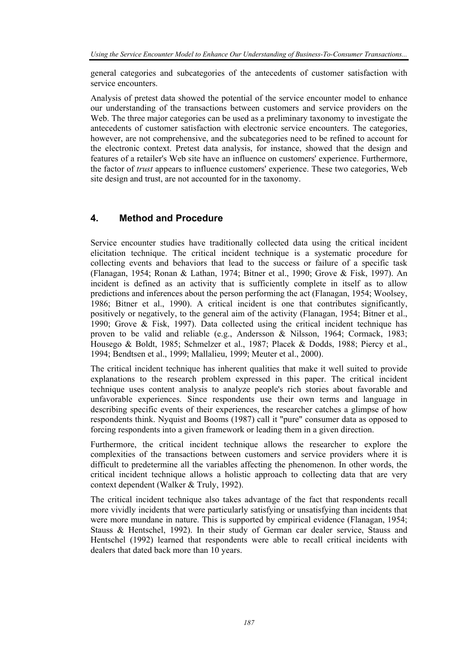general categories and subcategories of the antecedents of customer satisfaction with service encounters.

Analysis of pretest data showed the potential of the service encounter model to enhance our understanding of the transactions between customers and service providers on the Web. The three major categories can be used as a preliminary taxonomy to investigate the antecedents of customer satisfaction with electronic service encounters. The categories, however, are not comprehensive, and the subcategories need to be refined to account for the electronic context. Pretest data analysis, for instance, showed that the design and features of a retailer's Web site have an influence on customers' experience. Furthermore, the factor of *trust* appears to influence customers' experience. These two categories, Web site design and trust, are not accounted for in the taxonomy.

## **4. Method and Procedure**

Service encounter studies have traditionally collected data using the critical incident elicitation technique. The critical incident technique is a systematic procedure for collecting events and behaviors that lead to the success or failure of a specific task (Flanagan, 1954; Ronan & Lathan, 1974; Bitner et al., 1990; Grove & Fisk, 1997). An incident is defined as an activity that is sufficiently complete in itself as to allow predictions and inferences about the person performing the act (Flanagan, 1954; Woolsey, 1986; Bitner et al., 1990). A critical incident is one that contributes significantly, positively or negatively, to the general aim of the activity (Flanagan, 1954; Bitner et al., 1990; Grove & Fisk, 1997). Data collected using the critical incident technique has proven to be valid and reliable (e.g., Andersson & Nilsson, 1964; Cormack, 1983; Housego & Boldt, 1985; Schmelzer et al., 1987; Placek & Dodds, 1988; Piercy et al., 1994; Bendtsen et al., 1999; Mallalieu, 1999; Meuter et al., 2000).

The critical incident technique has inherent qualities that make it well suited to provide explanations to the research problem expressed in this paper. The critical incident technique uses content analysis to analyze people's rich stories about favorable and unfavorable experiences. Since respondents use their own terms and language in describing specific events of their experiences, the researcher catches a glimpse of how respondents think. Nyquist and Booms (1987) call it "pure" consumer data as opposed to forcing respondents into a given framework or leading them in a given direction.

Furthermore, the critical incident technique allows the researcher to explore the complexities of the transactions between customers and service providers where it is difficult to predetermine all the variables affecting the phenomenon. In other words, the critical incident technique allows a holistic approach to collecting data that are very context dependent (Walker & Truly, 1992).

The critical incident technique also takes advantage of the fact that respondents recall more vividly incidents that were particularly satisfying or unsatisfying than incidents that were more mundane in nature. This is supported by empirical evidence (Flanagan, 1954; Stauss & Hentschel, 1992). In their study of German car dealer service, Stauss and Hentschel (1992) learned that respondents were able to recall critical incidents with dealers that dated back more than 10 years.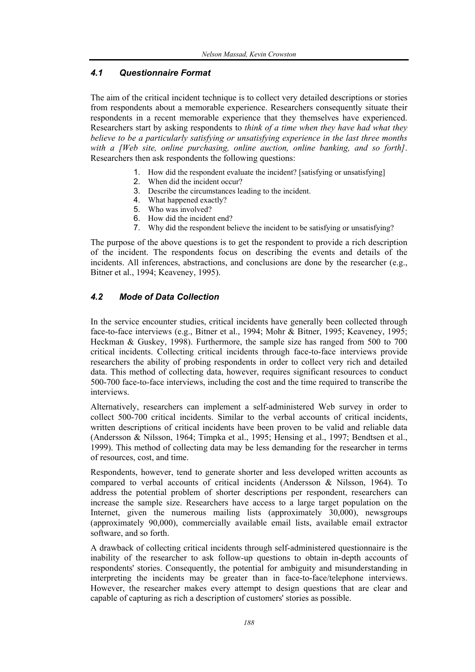#### *4.1 Questionnaire Format*

The aim of the critical incident technique is to collect very detailed descriptions or stories from respondents about a memorable experience. Researchers consequently situate their respondents in a recent memorable experience that they themselves have experienced. Researchers start by asking respondents to *think of a time when they have had what they believe to be a particularly satisfying or unsatisfying experience in the last three months with a [Web site, online purchasing, online auction, online banking, and so forth]*. Researchers then ask respondents the following questions:

- 1. How did the respondent evaluate the incident? [satisfying or unsatisfying]
- 2. When did the incident occur?
- 3. Describe the circumstances leading to the incident.
- 4. What happened exactly?
- 5. Who was involved?
- 6. How did the incident end?
- 7. Why did the respondent believe the incident to be satisfying or unsatisfying?

The purpose of the above questions is to get the respondent to provide a rich description of the incident. The respondents focus on describing the events and details of the incidents. All inferences, abstractions, and conclusions are done by the researcher (e.g., Bitner et al., 1994; Keaveney, 1995).

#### *4.2 Mode of Data Collection*

In the service encounter studies, critical incidents have generally been collected through face-to-face interviews (e.g., Bitner et al., 1994; Mohr & Bitner, 1995; Keaveney, 1995; Heckman & Guskey, 1998). Furthermore, the sample size has ranged from 500 to 700 critical incidents. Collecting critical incidents through face-to-face interviews provide researchers the ability of probing respondents in order to collect very rich and detailed data. This method of collecting data, however, requires significant resources to conduct 500-700 face-to-face interviews, including the cost and the time required to transcribe the interviews.

Alternatively, researchers can implement a self-administered Web survey in order to collect 500-700 critical incidents. Similar to the verbal accounts of critical incidents, written descriptions of critical incidents have been proven to be valid and reliable data (Andersson & Nilsson, 1964; Timpka et al., 1995; Hensing et al., 1997; Bendtsen et al., 1999). This method of collecting data may be less demanding for the researcher in terms of resources, cost, and time.

Respondents, however, tend to generate shorter and less developed written accounts as compared to verbal accounts of critical incidents (Andersson & Nilsson, 1964). To address the potential problem of shorter descriptions per respondent, researchers can increase the sample size. Researchers have access to a large target population on the Internet, given the numerous mailing lists (approximately 30,000), newsgroups (approximately 90,000), commercially available email lists, available email extractor software, and so forth.

A drawback of collecting critical incidents through self-administered questionnaire is the inability of the researcher to ask follow-up questions to obtain in-depth accounts of respondents' stories. Consequently, the potential for ambiguity and misunderstanding in interpreting the incidents may be greater than in face-to-face/telephone interviews. However, the researcher makes every attempt to design questions that are clear and capable of capturing as rich a description of customers' stories as possible.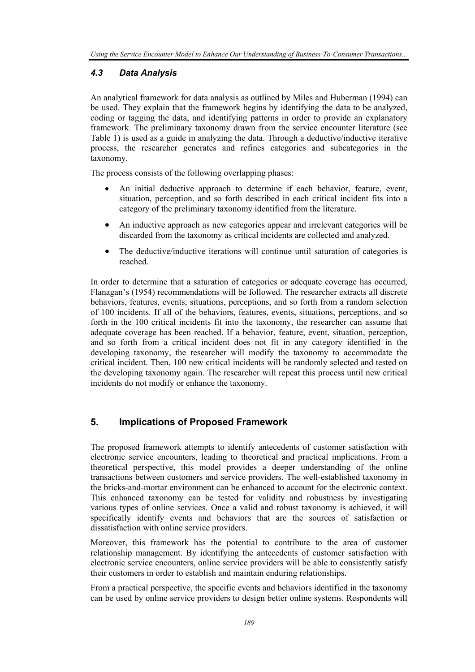#### *4.3 Data Analysis*

An analytical framework for data analysis as outlined by Miles and Huberman (1994) can be used. They explain that the framework begins by identifying the data to be analyzed, coding or tagging the data, and identifying patterns in order to provide an explanatory framework. The preliminary taxonomy drawn from the service encounter literature (see Table 1) is used as a guide in analyzing the data. Through a deductive/inductive iterative process, the researcher generates and refines categories and subcategories in the taxonomy.

The process consists of the following overlapping phases:

- An initial deductive approach to determine if each behavior, feature, event, situation, perception, and so forth described in each critical incident fits into a category of the preliminary taxonomy identified from the literature.
- An inductive approach as new categories appear and irrelevant categories will be discarded from the taxonomy as critical incidents are collected and analyzed.
- The deductive/inductive iterations will continue until saturation of categories is reached.

In order to determine that a saturation of categories or adequate coverage has occurred, Flanagan's (1954) recommendations will be followed. The researcher extracts all discrete behaviors, features, events, situations, perceptions, and so forth from a random selection of 100 incidents. If all of the behaviors, features, events, situations, perceptions, and so forth in the 100 critical incidents fit into the taxonomy, the researcher can assume that adequate coverage has been reached. If a behavior, feature, event, situation, perception, and so forth from a critical incident does not fit in any category identified in the developing taxonomy, the researcher will modify the taxonomy to accommodate the critical incident. Then, 100 new critical incidents will be randomly selected and tested on the developing taxonomy again. The researcher will repeat this process until new critical incidents do not modify or enhance the taxonomy.

## **5. Implications of Proposed Framework**

The proposed framework attempts to identify antecedents of customer satisfaction with electronic service encounters, leading to theoretical and practical implications. From a theoretical perspective, this model provides a deeper understanding of the online transactions between customers and service providers. The well-established taxonomy in the bricks-and-mortar environment can be enhanced to account for the electronic context. This enhanced taxonomy can be tested for validity and robustness by investigating various types of online services. Once a valid and robust taxonomy is achieved, it will specifically identify events and behaviors that are the sources of satisfaction or dissatisfaction with online service providers.

Moreover, this framework has the potential to contribute to the area of customer relationship management. By identifying the antecedents of customer satisfaction with electronic service encounters, online service providers will be able to consistently satisfy their customers in order to establish and maintain enduring relationships.

From a practical perspective, the specific events and behaviors identified in the taxonomy can be used by online service providers to design better online systems. Respondents will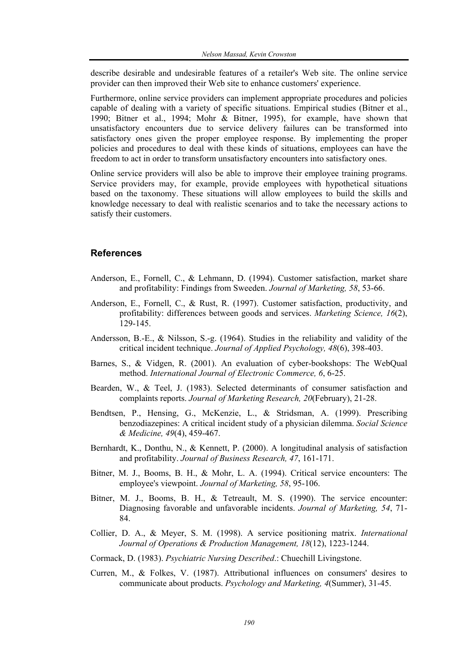describe desirable and undesirable features of a retailer's Web site. The online service provider can then improved their Web site to enhance customers' experience.

Furthermore, online service providers can implement appropriate procedures and policies capable of dealing with a variety of specific situations. Empirical studies (Bitner et al., 1990; Bitner et al., 1994; Mohr & Bitner, 1995), for example, have shown that unsatisfactory encounters due to service delivery failures can be transformed into satisfactory ones given the proper employee response. By implementing the proper policies and procedures to deal with these kinds of situations, employees can have the freedom to act in order to transform unsatisfactory encounters into satisfactory ones.

Online service providers will also be able to improve their employee training programs. Service providers may, for example, provide employees with hypothetical situations based on the taxonomy. These situations will allow employees to build the skills and knowledge necessary to deal with realistic scenarios and to take the necessary actions to satisfy their customers.

#### **References**

- Anderson, E., Fornell, C., & Lehmann, D. (1994). Customer satisfaction, market share and profitability: Findings from Sweeden. *Journal of Marketing, 58*, 53-66.
- Anderson, E., Fornell, C., & Rust, R. (1997). Customer satisfaction, productivity, and profitability: differences between goods and services. *Marketing Science, 16*(2), 129-145.
- Andersson, B.-E., & Nilsson, S.-g. (1964). Studies in the reliability and validity of the critical incident technique. *Journal of Applied Psychology, 48*(6), 398-403.
- Barnes, S., & Vidgen, R. (2001). An evaluation of cyber-bookshops: The WebQual method. *International Journal of Electronic Commerce, 6*, 6-25.
- Bearden, W., & Teel, J. (1983). Selected determinants of consumer satisfaction and complaints reports. *Journal of Marketing Research, 20*(February), 21-28.
- Bendtsen, P., Hensing, G., McKenzie, L., & Stridsman, A. (1999). Prescribing benzodiazepines: A critical incident study of a physician dilemma. *Social Science & Medicine, 49*(4), 459-467.
- Bernhardt, K., Donthu, N., & Kennett, P. (2000). A longitudinal analysis of satisfaction and profitability. *Journal of Business Research, 47*, 161-171.
- Bitner, M. J., Booms, B. H., & Mohr, L. A. (1994). Critical service encounters: The employee's viewpoint. *Journal of Marketing, 58*, 95-106.
- Bitner, M. J., Booms, B. H., & Tetreault, M. S. (1990). The service encounter: Diagnosing favorable and unfavorable incidents. *Journal of Marketing, 54*, 71- 84.
- Collier, D. A., & Meyer, S. M. (1998). A service positioning matrix. *International Journal of Operations & Production Management, 18*(12), 1223-1244.
- Cormack, D. (1983). *Psychiatric Nursing Described*.: Chuechill Livingstone.
- Curren, M., & Folkes, V. (1987). Attributional influences on consumers' desires to communicate about products. *Psychology and Marketing, 4*(Summer), 31-45.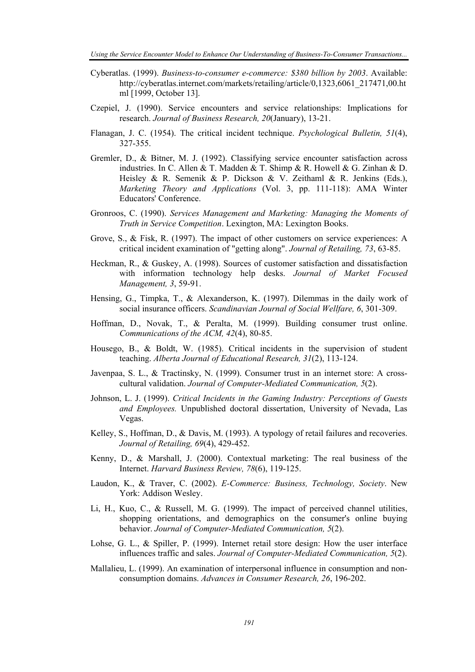- Cyberatlas. (1999). *Business-to-consumer e-commerce: \$380 billion by 2003*. Available: http://cyberatlas.internet.com/markets/retailing/article/0,1323,6061\_217471,00.ht ml [1999, October 13].
- Czepiel, J. (1990). Service encounters and service relationships: Implications for research. *Journal of Business Research, 20*(January), 13-21.
- Flanagan, J. C. (1954). The critical incident technique. *Psychological Bulletin, 51*(4), 327-355.
- Gremler, D., & Bitner, M. J. (1992). Classifying service encounter satisfaction across industries. In C. Allen & T. Madden & T. Shimp & R. Howell & G. Zinhan & D. Heisley & R. Semenik & P. Dickson & V. Zeithaml & R. Jenkins (Eds.), *Marketing Theory and Applications* (Vol. 3, pp. 111-118): AMA Winter Educators' Conference.
- Gronroos, C. (1990). *Services Management and Marketing: Managing the Moments of Truth in Service Competition*. Lexington, MA: Lexington Books.
- Grove, S., & Fisk, R. (1997). The impact of other customers on service experiences: A critical incident examination of "getting along". *Journal of Retailing, 73*, 63-85.
- Heckman, R., & Guskey, A. (1998). Sources of customer satisfaction and dissatisfaction with information technology help desks. *Journal of Market Focused Management, 3*, 59-91.
- Hensing, G., Timpka, T., & Alexanderson, K. (1997). Dilemmas in the daily work of social insurance officers. *Scandinavian Journal of Social Wellfare, 6*, 301-309.
- Hoffman, D., Novak, T., & Peralta, M. (1999). Building consumer trust online. *Communications of the ACM, 42*(4), 80-85.
- Housego, B., & Boldt, W. (1985). Critical incidents in the supervision of student teaching. *Alberta Journal of Educational Research, 31*(2), 113-124.
- Javenpaa, S. L., & Tractinsky, N. (1999). Consumer trust in an internet store: A crosscultural validation. *Journal of Computer-Mediated Communication, 5*(2).
- Johnson, L. J. (1999). *Critical Incidents in the Gaming Industry: Perceptions of Guests and Employees.* Unpublished doctoral dissertation, University of Nevada, Las Vegas.
- Kelley, S., Hoffman, D., & Davis, M. (1993). A typology of retail failures and recoveries. *Journal of Retailing, 69*(4), 429-452.
- Kenny, D., & Marshall, J. (2000). Contextual marketing: The real business of the Internet. *Harvard Business Review, 78*(6), 119-125.
- Laudon, K., & Traver, C. (2002). *E-Commerce: Business, Technology, Society*. New York: Addison Wesley.
- Li, H., Kuo, C., & Russell, M. G. (1999). The impact of perceived channel utilities, shopping orientations, and demographics on the consumer's online buying behavior. *Journal of Computer-Mediated Communication, 5*(2).
- Lohse, G. L., & Spiller, P. (1999). Internet retail store design: How the user interface influences traffic and sales. *Journal of Computer-Mediated Communication, 5*(2).
- Mallalieu, L. (1999). An examination of interpersonal influence in consumption and nonconsumption domains. *Advances in Consumer Research, 26*, 196-202.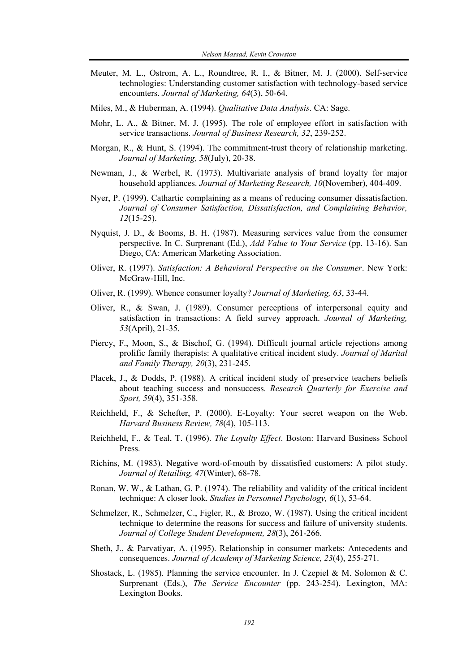- Meuter, M. L., Ostrom, A. L., Roundtree, R. I., & Bitner, M. J. (2000). Self-service technologies: Understanding customer satisfaction with technology-based service encounters. *Journal of Marketing, 64*(3), 50-64.
- Miles, M., & Huberman, A. (1994). *Qualitative Data Analysis*. CA: Sage.
- Mohr, L. A., & Bitner, M. J. (1995). The role of employee effort in satisfaction with service transactions. *Journal of Business Research, 32*, 239-252.
- Morgan, R., & Hunt, S. (1994). The commitment-trust theory of relationship marketing. *Journal of Marketing, 58*(July), 20-38.
- Newman, J., & Werbel, R. (1973). Multivariate analysis of brand loyalty for major household appliances. *Journal of Marketing Research, 10*(November), 404-409.
- Nyer, P. (1999). Cathartic complaining as a means of reducing consumer dissatisfaction. *Journal of Consumer Satisfaction, Dissatisfaction, and Complaining Behavior, 12*(15-25).
- Nyquist, J. D., & Booms, B. H. (1987). Measuring services value from the consumer perspective. In C. Surprenant (Ed.), *Add Value to Your Service* (pp. 13-16). San Diego, CA: American Marketing Association.
- Oliver, R. (1997). *Satisfaction: A Behavioral Perspective on the Consumer*. New York: McGraw-Hill, Inc.
- Oliver, R. (1999). Whence consumer loyalty? *Journal of Marketing, 63*, 33-44.
- Oliver, R., & Swan, J. (1989). Consumer perceptions of interpersonal equity and satisfaction in transactions: A field survey approach. *Journal of Marketing, 53*(April), 21-35.
- Piercy, F., Moon, S., & Bischof, G. (1994). Difficult journal article rejections among prolific family therapists: A qualitative critical incident study. *Journal of Marital and Family Therapy, 20*(3), 231-245.
- Placek, J., & Dodds, P. (1988). A critical incident study of preservice teachers beliefs about teaching success and nonsuccess. *Research Quarterly for Exercise and Sport, 59*(4), 351-358.
- Reichheld, F., & Schefter, P. (2000). E-Loyalty: Your secret weapon on the Web. *Harvard Business Review, 78*(4), 105-113.
- Reichheld, F., & Teal, T. (1996). *The Loyalty Effect*. Boston: Harvard Business School Press.
- Richins, M. (1983). Negative word-of-mouth by dissatisfied customers: A pilot study. *Journal of Retailing, 47*(Winter), 68-78.
- Ronan, W. W., & Lathan, G. P. (1974). The reliability and validity of the critical incident technique: A closer look. *Studies in Personnel Psychology, 6*(1), 53-64.
- Schmelzer, R., Schmelzer, C., Figler, R., & Brozo, W. (1987). Using the critical incident technique to determine the reasons for success and failure of university students. *Journal of College Student Development, 28*(3), 261-266.
- Sheth, J., & Parvatiyar, A. (1995). Relationship in consumer markets: Antecedents and consequences. *Journal of Academy of Marketing Science, 23*(4), 255-271.
- Shostack, L. (1985). Planning the service encounter. In J. Czepiel & M. Solomon & C. Surprenant (Eds.), *The Service Encounter* (pp. 243-254). Lexington, MA: Lexington Books.